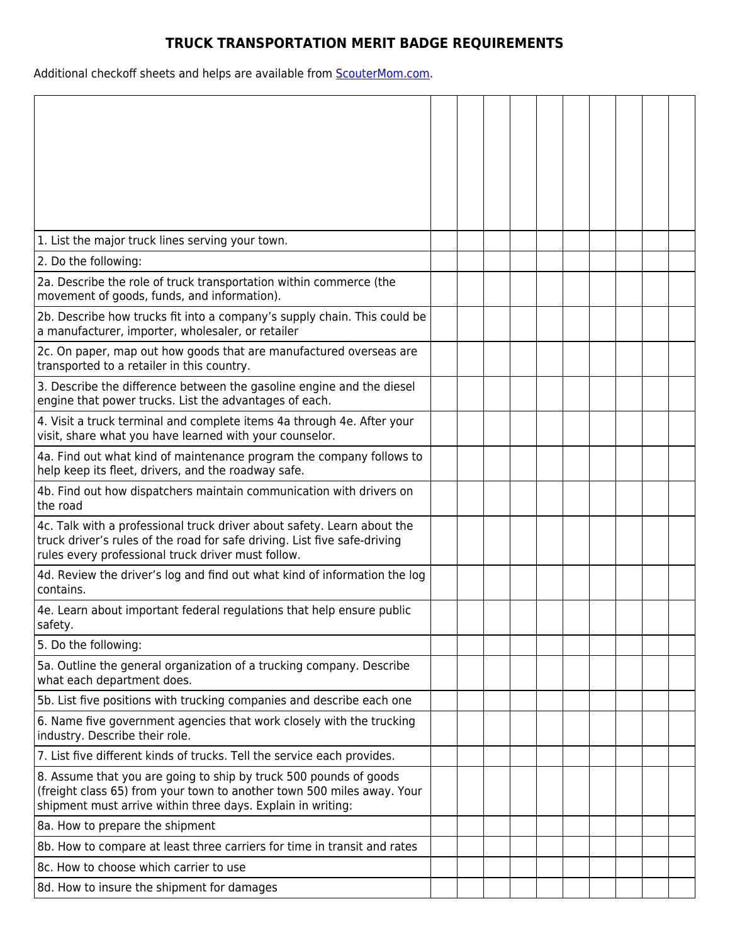## **TRUCK TRANSPORTATION MERIT BADGE REQUIREMENTS**

Additional checkoff sheets and helps are available from **ScouterMom.com**.

| 1. List the major truck lines serving your town.                                                                                                                                                           |  |  |  |  |  |
|------------------------------------------------------------------------------------------------------------------------------------------------------------------------------------------------------------|--|--|--|--|--|
| 2. Do the following:                                                                                                                                                                                       |  |  |  |  |  |
| 2a. Describe the role of truck transportation within commerce (the<br>movement of goods, funds, and information).                                                                                          |  |  |  |  |  |
| 2b. Describe how trucks fit into a company's supply chain. This could be<br>a manufacturer, importer, wholesaler, or retailer                                                                              |  |  |  |  |  |
| 2c. On paper, map out how goods that are manufactured overseas are<br>transported to a retailer in this country.                                                                                           |  |  |  |  |  |
| 3. Describe the difference between the gasoline engine and the diesel<br>engine that power trucks. List the advantages of each.                                                                            |  |  |  |  |  |
| 4. Visit a truck terminal and complete items 4a through 4e. After your<br>visit, share what you have learned with your counselor.                                                                          |  |  |  |  |  |
| 4a. Find out what kind of maintenance program the company follows to<br>help keep its fleet, drivers, and the roadway safe.                                                                                |  |  |  |  |  |
| 4b. Find out how dispatchers maintain communication with drivers on<br>the road                                                                                                                            |  |  |  |  |  |
| 4c. Talk with a professional truck driver about safety. Learn about the<br>truck driver's rules of the road for safe driving. List five safe-driving<br>rules every professional truck driver must follow. |  |  |  |  |  |
| 4d. Review the driver's log and find out what kind of information the log<br>contains.                                                                                                                     |  |  |  |  |  |
| 4e. Learn about important federal regulations that help ensure public<br>safety.                                                                                                                           |  |  |  |  |  |
| 5. Do the following:                                                                                                                                                                                       |  |  |  |  |  |
| 5a. Outline the general organization of a trucking company. Describe<br>what each department does.                                                                                                         |  |  |  |  |  |
| 5b. List five positions with trucking companies and describe each one                                                                                                                                      |  |  |  |  |  |
| 6. Name five government agencies that work closely with the trucking<br>industry. Describe their role.                                                                                                     |  |  |  |  |  |
| 7. List five different kinds of trucks. Tell the service each provides.                                                                                                                                    |  |  |  |  |  |
| 8. Assume that you are going to ship by truck 500 pounds of goods<br>(freight class 65) from your town to another town 500 miles away. Your<br>shipment must arrive within three days. Explain in writing: |  |  |  |  |  |
| 8a. How to prepare the shipment                                                                                                                                                                            |  |  |  |  |  |
| 8b. How to compare at least three carriers for time in transit and rates                                                                                                                                   |  |  |  |  |  |
| 8c. How to choose which carrier to use                                                                                                                                                                     |  |  |  |  |  |
| 8d. How to insure the shipment for damages                                                                                                                                                                 |  |  |  |  |  |